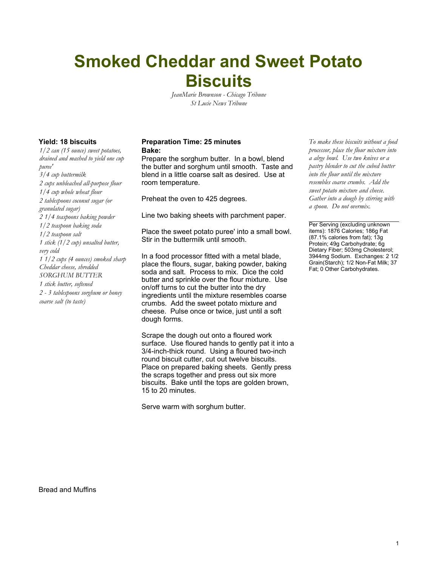# **Smoked Cheddar and Sweet Potato Biscuits**

*JeanMarie Brownson - Chicago Tribune St Lucie News Tribune*

*1/2 can (15 ounce) sweet potatoes, drained and mashed to yield one cup puree' 3/4 cup buttermilk 2 cups unbleached all-purpose flour 1/4 cup whole wheat flour 2 tablespoons coconut sugar (or granulated sugar) 2 1/4 teaspoons baking powder 1/2 teaspoon baking soda 1/2 teaspoon salt 1 stick (1/2 cup) unsalted butter, very cold 1 1/2 cups (4 ounces) smoked sharp Cheddar cheese, shredded SORGHUM BUTTER 1 stick butter, softened 2 - 3 tablespoons sorghum or honey coarse salt (to taste)*

#### **Yield: 18 biscuits Preparation Time: 25 minutes** *To make these biscuits without a food* **Bake:**

Prepare the sorghum butter. In a bowl, blend the butter and sorghum until smooth. Taste and blend in a little coarse salt as desired. Use at room temperature.

Preheat the oven to 425 degrees.

Line two baking sheets with parchment paper.

Place the sweet potato puree' into a small bowl. Stir in the buttermilk until smooth.

In a food processor fitted with a metal blade, place the flours, sugar, baking powder, baking soda and salt. Process to mix. Dice the cold butter and sprinkle over the flour mixture. Use on/off turns to cut the butter into the dry ingredients until the mixture resembles coarse crumbs. Add the sweet potato mixture and cheese. Pulse once or twice, just until a soft dough forms.

Scrape the dough out onto a floured work surface. Use floured hands to gently pat it into a 3/4-inch-thick round. Using a floured two-inch round biscuit cutter, cut out twelve biscuits. Place on prepared baking sheets. Gently press the scraps together and press out six more biscuits. Bake until the tops are golden brown, 15 to 20 minutes.

Serve warm with sorghum butter.

*processor, place the flour mixture into a alrge bowl. Use two knives or a pastry blender to cut the cubed butter into the flour until the mixture resembles coarse crumbs. Add the sweet potato mixture and cheese. Gather into a dough by stirring with a spoon. Do not overmix.*

Per Serving (excluding unknown items): 1876 Calories; 186g Fat (87.1% calories from fat); 13g Protein; 49g Carbohydrate; 6g Dietary Fiber; 503mg Cholesterol; 3944mg Sodium. Exchanges: 2 1/2 Grain(Starch); 1/2 Non-Fat Milk; 37 Fat; 0 Other Carbohydrates.

Bread and Muffins